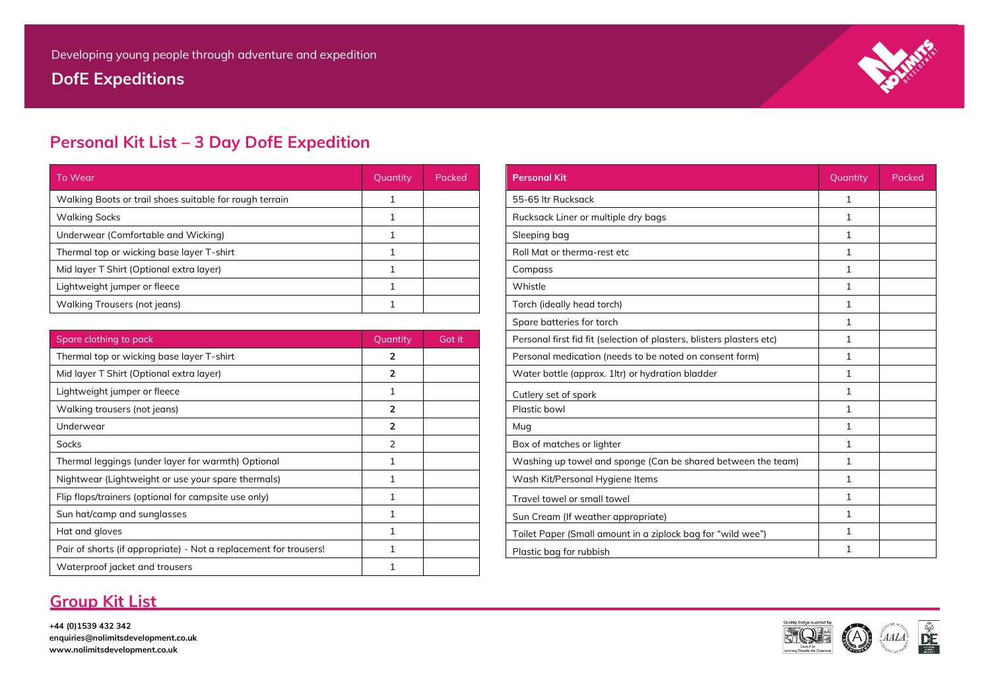**DofE Expeditions**



## **Personal Kit List – 3 Day DofE Expedition**

| To Wear                                                 | Quantity | Packed | <b>Personal Kit</b>                 | Quantity | Packed |
|---------------------------------------------------------|----------|--------|-------------------------------------|----------|--------|
| Walking Boots or trail shoes suitable for rough terrain |          |        | 55-65 ltr Rucksack                  |          |        |
| <b>Walking Socks</b>                                    |          |        | Rucksack Liner or multiple dry bags |          |        |
| Underwear (Comfortable and Wicking)                     |          |        | Sleeping bag                        |          |        |
| Thermal top or wicking base layer T-shirt               |          |        | Roll Mat or therma-rest etc         |          |        |
| Mid layer T Shirt (Optional extra layer)                |          |        | Compass                             |          |        |
| Lightweight jumper or fleece                            |          |        | Whistle                             |          |        |
| Walking Trousers (not jeans)                            |          |        | Torch (ideally head torch)          |          |        |

# Rucksack Liner or multiple dry bags 1 and 1 and 1 and 1 and 1 and 1 and 1 and 1 and 1 and 1 and 1 and 1 and 1 and 1 and 1 and 1 and 1 and 1 and 1 and 1 and 1 and 1 and 1 and 1 and 1 and 1 and 1 and 1 and 1 and 1 and 1 and The Roll Mat or therma-rest etc is a set of the shirt 1  $1$ Walking Trousers (not jeans) 1 Torch (ideally head torch) 1 Spare batteries for torch 1 and 1 and 1 and 1 and 1 and 1 and 1 and 1 and 1 and 1 and 1 and 1 and 1 and 1 and 1 and 1 and 1 and 1 and 1 and 1 and 1 and 1 and 1 and 1 and 1 and 1 and 1 and 1 and 1 and 1 and 1 and 1 and 1 an Personal first fid fit (selection of plasters, blisters plasters etc) 1 Thermal top or wickelay or wickelayer Personal medication (needs to be noted on consent form) 1 Water bottle (approx. 1ltr) or hydration bladder **2008** 1 Box of matches or lighter 1 and 2 Box of matches or lighter 1 Washing up towel and sponge (Can be shared between the team)  $\begin{vmatrix} 1 & 1 \end{vmatrix}$ Wash Kit/Personal Hygiene Items 1 Nightweight or use 1 Nightweight or use 1 Nightweight 2  $\begin{array}{ccc} \hbox{Travel to well} & \qquad & \qquad & \qquad & \qquad & \qquad & \qquad & \text{1} \qquad & \qquad & \text{1} \qquad & \qquad & \text{1} \qquad & \qquad & \text{1} \qquad & \text{1} \qquad & \text{1} \qquad & \text{1} \qquad & \text{1} \qquad & \text{1} \qquad & \text{1} \qquad & \text{1} \qquad & \text{1} \qquad & \text{1} \qquad & \text{1} \qquad & \text{1} \qquad & \text{1} \qquad & \text{1} \qquad & \text{1} \qquad & \text{1} \$ Sun Cream (If weather appropriate) 1 Sun Cream (If weather appropriate) Toilet Paper (Small amount in a ziplock bag for "wild wee") 1 Plastic bag for rubbish  $\begin{array}{ccc} 1 & 1 \end{array}$

### **Group Kit List**

**+44 (0)1539 432 342 enquiries@nolimitsdevelopment.co.uk www.nolimitsdevelopment.co.uk**